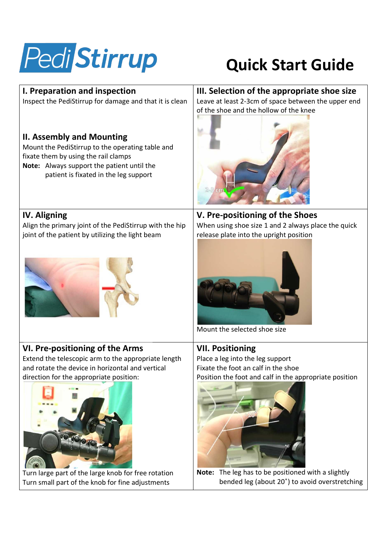

## **Quick Start Guide**

| I. Preparation and inspection                                                                                                                                                                                       | III. Selection of the appropriate shoe size                                                             |
|---------------------------------------------------------------------------------------------------------------------------------------------------------------------------------------------------------------------|---------------------------------------------------------------------------------------------------------|
| Inspect the PediStirrup for damage and that it is clean                                                                                                                                                             | Leave at least 2-3cm of space between the upper end                                                     |
| <b>II. Assembly and Mounting</b><br>Mount the PediStirrup to the operating table and<br>fixate them by using the rail clamps<br>Note: Always support the patient until the<br>patient is fixated in the leg support | of the shoe and the hollow of the knee                                                                  |
| <b>IV. Aligning</b>                                                                                                                                                                                                 | V. Pre-positioning of the Shoes                                                                         |
| Align the primary joint of the PediStirrup with the hip                                                                                                                                                             | When using shoe size 1 and 2 always place the quick                                                     |
| joint of the patient by utilizing the light beam                                                                                                                                                                    | release plate into the upright position<br>Mount the selected shoe size                                 |
| VI. Pre-positioning of the Arms                                                                                                                                                                                     | <b>VII. Positioning</b>                                                                                 |
| Extend the telescopic arm to the appropriate length                                                                                                                                                                 | Place a leg into the leg support                                                                        |
| and rotate the device in horizontal and vertical                                                                                                                                                                    | Fixate the foot an calf in the shoe                                                                     |
| direction for the appropriate position:                                                                                                                                                                             | Position the foot and calf in the appropriate position                                                  |
| Turn large part of the large knob for free rotation                                                                                                                                                                 | The leg has to be positioned with a slightly<br>Note:<br>bended leg (about 20°) to avoid overstretching |
| Turn small part of the knob for fine adjustments                                                                                                                                                                    |                                                                                                         |